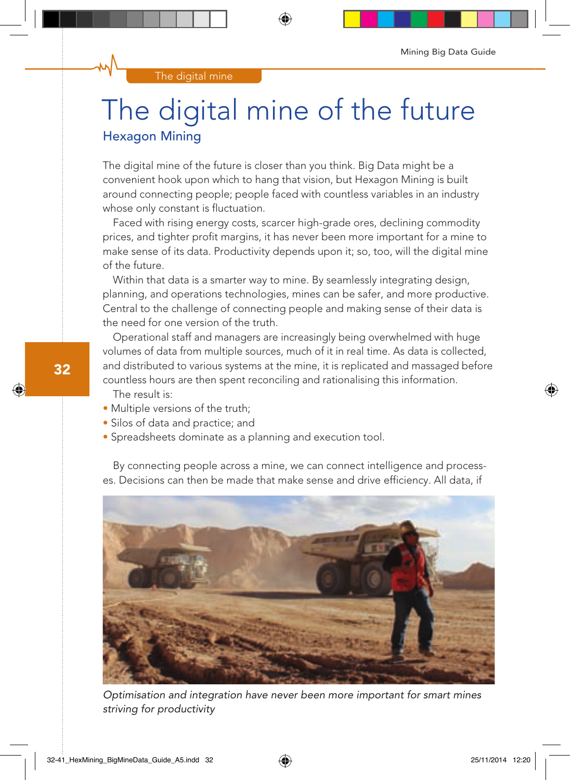## The digital mine of the future Hexagon Mining

The digital mine of the future is closer than you think. Big Data might be a convenient hook upon which to hang that vision, but Hexagon Mining is built around connecting people; people faced with countless variables in an industry whose only constant is fluctuation.

Faced with rising energy costs, scarcer high-grade ores, declining commodity prices, and tighter profit margins, it has never been more important for a mine to make sense of its data. Productivity depends upon it; so, too, will the digital mine of the future.

Within that data is a smarter way to mine. By seamlessly integrating design, planning, and operations technologies, mines can be safer, and more productive. Central to the challenge of connecting people and making sense of their data is the need for one version of the truth.

Operational staff and managers are increasingly being overwhelmed with huge volumes of data from multiple sources, much of it in real time. As data is collected, and distributed to various systems at the mine, it is replicated and massaged before countless hours are then spent reconciling and rationalising this information. The result is:

- Multiple versions of the truth;
- Silos of data and practice; and
- Spreadsheets dominate as a planning and execution tool.

By connecting people across a mine, we can connect intelligence and processes. Decisions can then be made that make sense and drive efficiency. All data, if



Optimisation and integration have never been more important for smart mines striving for productivity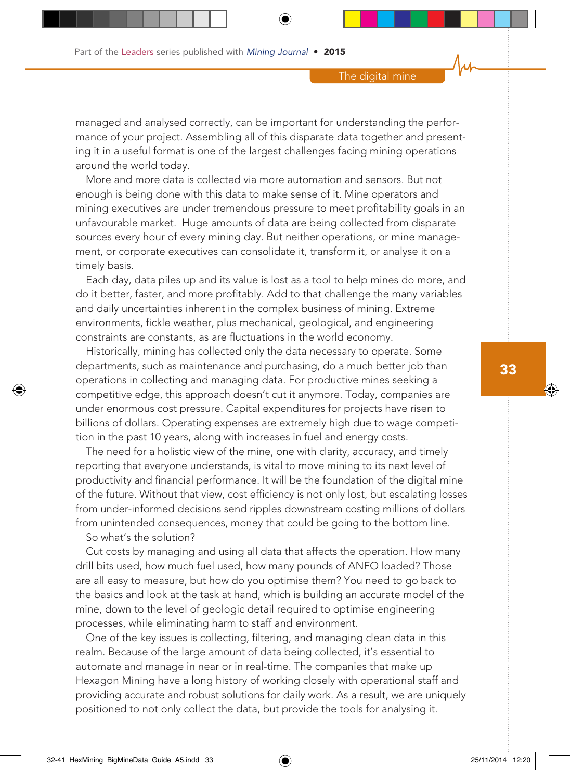managed and analysed correctly, can be important for understanding the performance of your project. Assembling all of this disparate data together and presenting it in a useful format is one of the largest challenges facing mining operations around the world today.

More and more data is collected via more automation and sensors. But not enough is being done with this data to make sense of it. Mine operators and mining executives are under tremendous pressure to meet profitability goals in an unfavourable market. Huge amounts of data are being collected from disparate sources every hour of every mining day. But neither operations, or mine management, or corporate executives can consolidate it, transform it, or analyse it on a timely basis.

Each day, data piles up and its value is lost as a tool to help mines do more, and do it better, faster, and more profitably. Add to that challenge the many variables and daily uncertainties inherent in the complex business of mining. Extreme environments, fickle weather, plus mechanical, geological, and engineering constraints are constants, as are fluctuations in the world economy.

Historically, mining has collected only the data necessary to operate. Some departments, such as maintenance and purchasing, do a much better job than operations in collecting and managing data. For productive mines seeking a competitive edge, this approach doesn't cut it anymore. Today, companies are under enormous cost pressure. Capital expenditures for projects have risen to billions of dollars. Operating expenses are extremely high due to wage competition in the past 10 years, along with increases in fuel and energy costs.

The need for a holistic view of the mine, one with clarity, accuracy, and timely reporting that everyone understands, is vital to move mining to its next level of productivity and financial performance. It will be the foundation of the digital mine of the future. Without that view, cost efficiency is not only lost, but escalating losses from under-informed decisions send ripples downstream costing millions of dollars from unintended consequences, money that could be going to the bottom line.

So what's the solution?

Cut costs by managing and using all data that affects the operation. How many drill bits used, how much fuel used, how many pounds of ANFO loaded? Those are all easy to measure, but how do you optimise them? You need to go back to the basics and look at the task at hand, which is building an accurate model of the mine, down to the level of geologic detail required to optimise engineering processes, while eliminating harm to staff and environment.

One of the key issues is collecting, filtering, and managing clean data in this realm. Because of the large amount of data being collected, it's essential to automate and manage in near or in real-time. The companies that make up Hexagon Mining have a long history of working closely with operational staff and providing accurate and robust solutions for daily work. As a result, we are uniquely positioned to not only collect the data, but provide the tools for analysing it.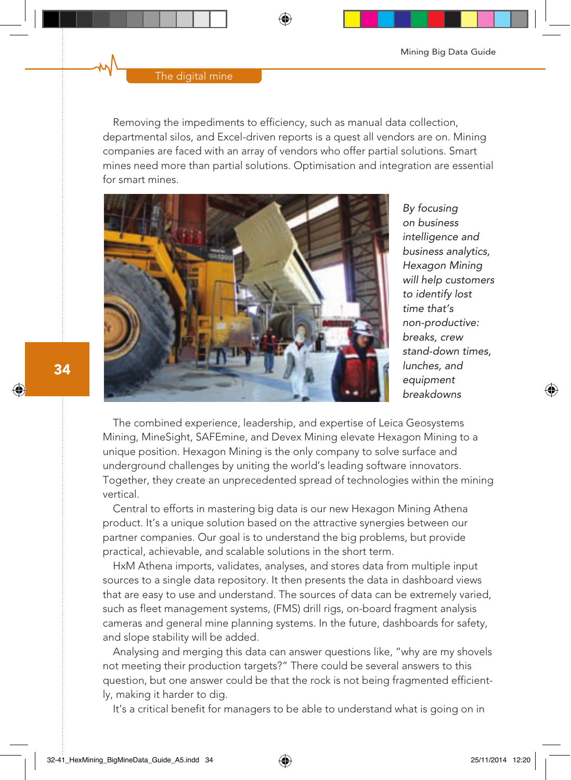## The digital mine

Removing the impediments to efficiency, such as manual data collection, departmental silos, and Excel-driven reports is a quest all vendors are on. Mining companies are faced with an array of vendors who offer partial solutions. Smart mines need more than partial solutions. Optimisation and integration are essential for smart mines.



By focusing on business intelligence and business analytics, Hexagon Mining will help customers to identify lost time that's non-productive: breaks, crew stand-down times, lunches, and equipment breakdowns

The combined experience, leadership, and expertise of Leica Geosystems Mining, MineSight, SAFEmine, and Devex Mining elevate Hexagon Mining to a unique position. Hexagon Mining is the only company to solve surface and underground challenges by uniting the world's leading software innovators. Together, they create an unprecedented spread of technologies within the mining vertical.

Central to efforts in mastering big data is our new Hexagon Mining Athena product. It's a unique solution based on the attractive synergies between our partner companies. Our goal is to understand the big problems, but provide practical, achievable, and scalable solutions in the short term.

HxM Athena imports, validates, analyses, and stores data from multiple input sources to a single data repository. It then presents the data in dashboard views that are easy to use and understand. The sources of data can be extremely varied, such as fleet management systems, (FMS) drill rigs, on-board fragment analysis cameras and general mine planning systems. In the future, dashboards for safety, and slope stability will be added.

Analysing and merging this data can answer questions like, "why are my shovels not meeting their production targets?" There could be several answers to this question, but one answer could be that the rock is not being fragmented efficiently, making it harder to dig.

It's a critical benefit for managers to be able to understand what is going on in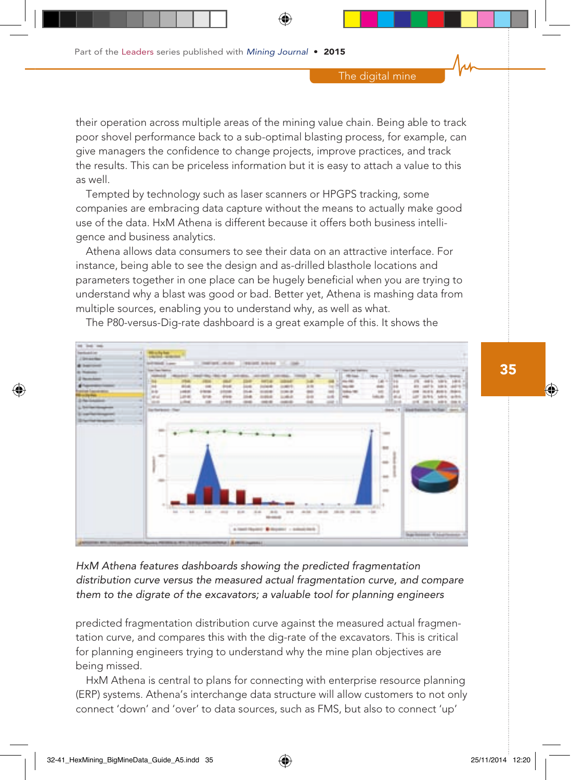their operation across multiple areas of the mining value chain. Being able to track poor shovel performance back to a sub-optimal blasting process, for example, can give managers the confidence to change projects, improve practices, and track the results. This can be priceless information but it is easy to attach a value to this as well.

Tempted by technology such as laser scanners or HPGPS tracking, some companies are embracing data capture without the means to actually make good use of the data. HxM Athena is different because it offers both business intelligence and business analytics.

Athena allows data consumers to see their data on an attractive interface. For instance, being able to see the design and as-drilled blasthole locations and parameters together in one place can be hugely beneficial when you are trying to understand why a blast was good or bad. Better yet, Athena is mashing data from multiple sources, enabling you to understand why, as well as what.



The P80-versus-Dig-rate dashboard is a great example of this. It shows the

HxM Athena features dashboards showing the predicted fragmentation distribution curve versus the measured actual fragmentation curve, and compare them to the digrate of the excavators; a valuable tool for planning engineers

predicted fragmentation distribution curve against the measured actual fragmentation curve, and compares this with the dig-rate of the excavators. This is critical for planning engineers trying to understand why the mine plan objectives are being missed.

HxM Athena is central to plans for connecting with enterprise resource planning (ERP) systems. Athena's interchange data structure will allow customers to not only connect 'down' and 'over' to data sources, such as FMS, but also to connect 'up'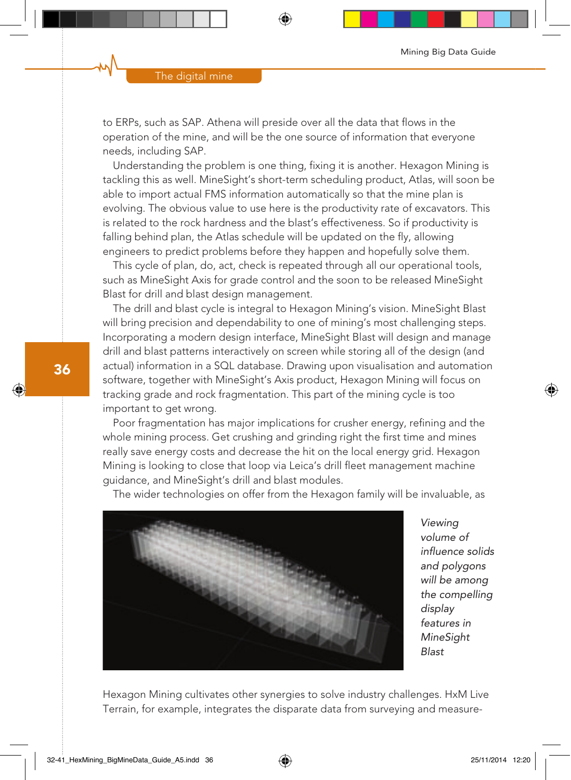to ERPs, such as SAP. Athena will preside over all the data that flows in the operation of the mine, and will be the one source of information that everyone needs, including SAP.

Understanding the problem is one thing, fixing it is another. Hexagon Mining is tackling this as well. MineSight's short-term scheduling product, Atlas, will soon be able to import actual FMS information automatically so that the mine plan is evolving. The obvious value to use here is the productivity rate of excavators. This is related to the rock hardness and the blast's effectiveness. So if productivity is falling behind plan, the Atlas schedule will be updated on the fly, allowing engineers to predict problems before they happen and hopefully solve them.

This cycle of plan, do, act, check is repeated through all our operational tools, such as MineSight Axis for grade control and the soon to be released MineSight Blast for drill and blast design management.

The drill and blast cycle is integral to Hexagon Mining's vision. MineSight Blast will bring precision and dependability to one of mining's most challenging steps. Incorporating a modern design interface, MineSight Blast will design and manage drill and blast patterns interactively on screen while storing all of the design (and actual) information in a SQL database. Drawing upon visualisation and automation software, together with MineSight's Axis product, Hexagon Mining will focus on tracking grade and rock fragmentation. This part of the mining cycle is too important to get wrong.

Poor fragmentation has major implications for crusher energy, refining and the whole mining process. Get crushing and grinding right the first time and mines really save energy costs and decrease the hit on the local energy grid. Hexagon Mining is looking to close that loop via Leica's drill fleet management machine guidance, and MineSight's drill and blast modules.

The wider technologies on offer from the Hexagon family will be invaluable, as



Viewing volume of influence solids and polygons will be among the compelling display features in **MineSight** Blast

Hexagon Mining cultivates other synergies to solve industry challenges. HxM Live Terrain, for example, integrates the disparate data from surveying and measure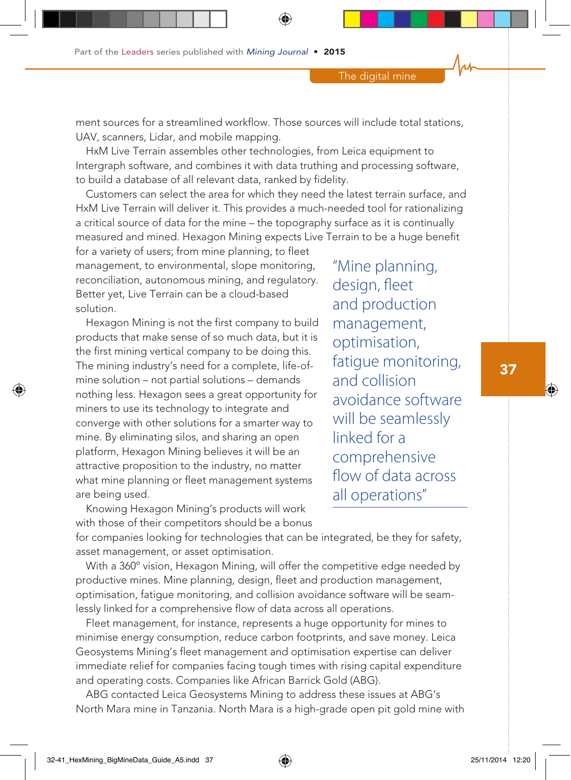ment sources for a streamlined workflow. Those sources will include total stations, UAV, scanners, Lidar, and mobile mapping.

HxM Live Terrain assembles other technologies, from Leica equipment to Intergraph software, and combines it with data truthing and processing software, to build a database of all relevant data, ranked by fidelity.

Customers can select the area for which they need the latest terrain surface, and HxM Live Terrain will deliver it. This provides a much-needed tool for rationalizing a critical source of data for the mine – the topography surface as it is continually measured and mined. Hexagon Mining expects Live Terrain to be a huge benefit

for a variety of users; from mine planning, to fleet management, to environmental, slope monitoring, reconciliation, autonomous mining, and regulatory. Better yet, Live Terrain can be a cloud-based solution.

Hexagon Mining is not the first company to build products that make sense of so much data, but it is the first mining vertical company to be doing this. The mining industry's need for a complete, life-ofmine solution – not partial solutions – demands nothing less. Hexagon sees a great opportunity for miners to use its technology to integrate and converge with other solutions for a smarter way to mine. By eliminating silos, and sharing an open platform, Hexagon Mining believes it will be an attractive proposition to the industry, no matter what mine planning or fleet management systems are being used.

"Mine planning, design, fleet and production management, optimisation, fatigue monitoring, and collision avoidance software will be seamlessly linked for a comprehensive flow of data across all operations"

Knowing Hexagon Mining's products will work with those of their competitors should be a bonus

for companies looking for technologies that can be integrated, be they for safety, asset management, or asset optimisation.

With a 360º vision, Hexagon Mining, will offer the competitive edge needed by productive mines. Mine planning, design, fleet and production management, optimisation, fatigue monitoring, and collision avoidance software will be seamlessly linked for a comprehensive flow of data across all operations.

Fleet management, for instance, represents a huge opportunity for mines to minimise energy consumption, reduce carbon footprints, and save money. Leica Geosystems Mining's fleet management and optimisation expertise can deliver immediate relief for companies facing tough times with rising capital expenditure and operating costs. Companies like African Barrick Gold (ABG).

ABG contacted Leica Geosystems Mining to address these issues at ABG's North Mara mine in Tanzania. North Mara is a high-grade open pit gold mine with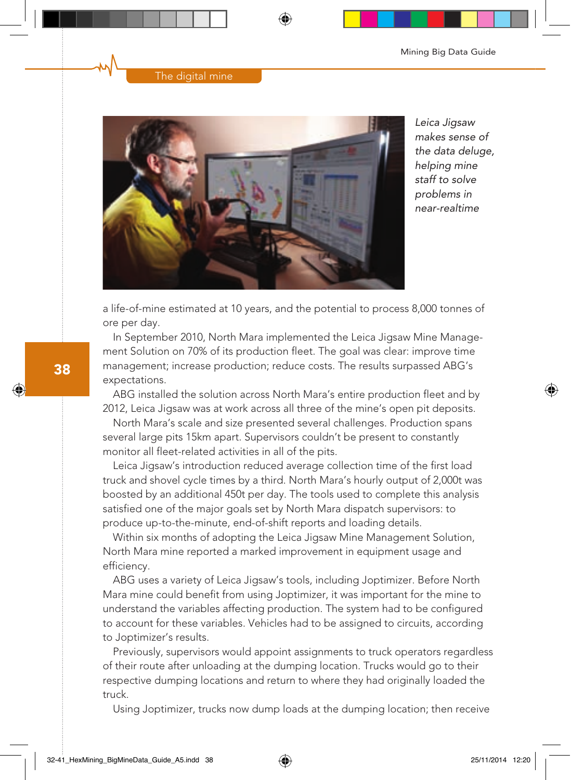## The digital mine



Leica Jigsaw makes sense of the data deluge. helping mine staff to solve problems in near-realtime

a life-of-mine estimated at 10 years, and the potential to process 8,000 tonnes of ore per day.

In September 2010, North Mara implemented the Leica Jigsaw Mine Management Solution on 70% of its production fleet. The goal was clear: improve time management; increase production; reduce costs. The results surpassed ABG's expectations.

ABG installed the solution across North Mara's entire production fleet and by 2012, Leica Jigsaw was at work across all three of the mine's open pit deposits.

North Mara's scale and size presented several challenges. Production spans several large pits 15km apart. Supervisors couldn't be present to constantly monitor all fleet-related activities in all of the pits.

Leica Jigsaw's introduction reduced average collection time of the first load truck and shovel cycle times by a third. North Mara's hourly output of 2,000t was boosted by an additional 450t per day. The tools used to complete this analysis satisfied one of the major goals set by North Mara dispatch supervisors: to produce up-to-the-minute, end-of-shift reports and loading details.

Within six months of adopting the Leica Jigsaw Mine Management Solution, North Mara mine reported a marked improvement in equipment usage and efficiency.

ABG uses a variety of Leica Jigsaw's tools, including Joptimizer. Before North Mara mine could benefit from using Joptimizer, it was important for the mine to understand the variables affecting production. The system had to be configured to account for these variables. Vehicles had to be assigned to circuits, according to Joptimizer's results.

Previously, supervisors would appoint assignments to truck operators regardless of their route after unloading at the dumping location. Trucks would go to their respective dumping locations and return to where they had originally loaded the truck.

Using Joptimizer, trucks now dump loads at the dumping location; then receive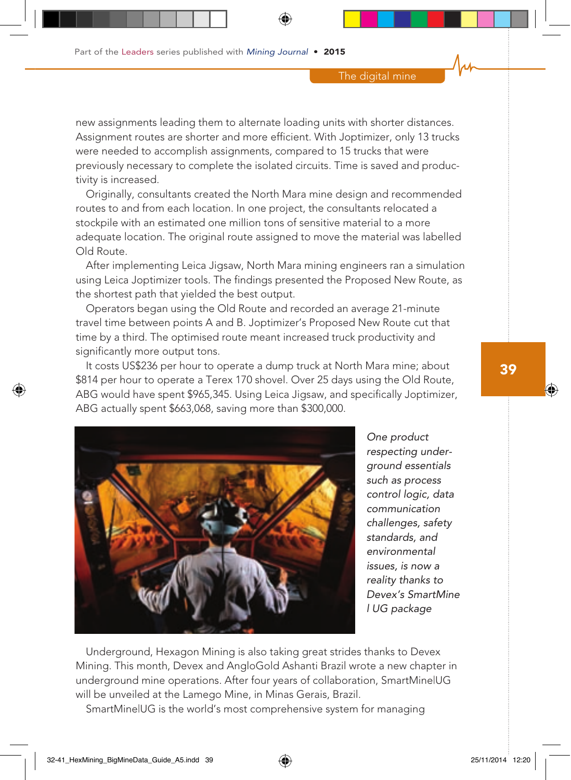new assignments leading them to alternate loading units with shorter distances. Assignment routes are shorter and more efficient. With Joptimizer, only 13 trucks were needed to accomplish assignments, compared to 15 trucks that were previously necessary to complete the isolated circuits. Time is saved and productivity is increased.

Originally, consultants created the North Mara mine design and recommended routes to and from each location. In one project, the consultants relocated a stockpile with an estimated one million tons of sensitive material to a more adequate location. The original route assigned to move the material was labelled Old Route.

After implementing Leica Jigsaw, North Mara mining engineers ran a simulation using Leica Joptimizer tools. The findings presented the Proposed New Route, as the shortest path that yielded the best output.

Operators began using the Old Route and recorded an average 21-minute travel time between points A and B. Joptimizer's Proposed New Route cut that time by a third. The optimised route meant increased truck productivity and significantly more output tons.

It costs US\$236 per hour to operate a dump truck at North Mara mine; about \$814 per hour to operate a Terex 170 shovel. Over 25 days using the Old Route, ABG would have spent \$965,345. Using Leica Jigsaw, and specifically Joptimizer, ABG actually spent \$663,068, saving more than \$300,000.



One product respecting underground essentials such as process control logic, data communication challenges, safety standards, and environmental issues, is now a reality thanks to Devex's SmartMine l UG package

Underground, Hexagon Mining is also taking great strides thanks to Devex Mining. This month, Devex and AngloGold Ashanti Brazil wrote a new chapter in underground mine operations. After four years of collaboration, SmartMine|UG will be unveiled at the Lamego Mine, in Minas Gerais, Brazil.

SmartMine|UG is the world's most comprehensive system for managing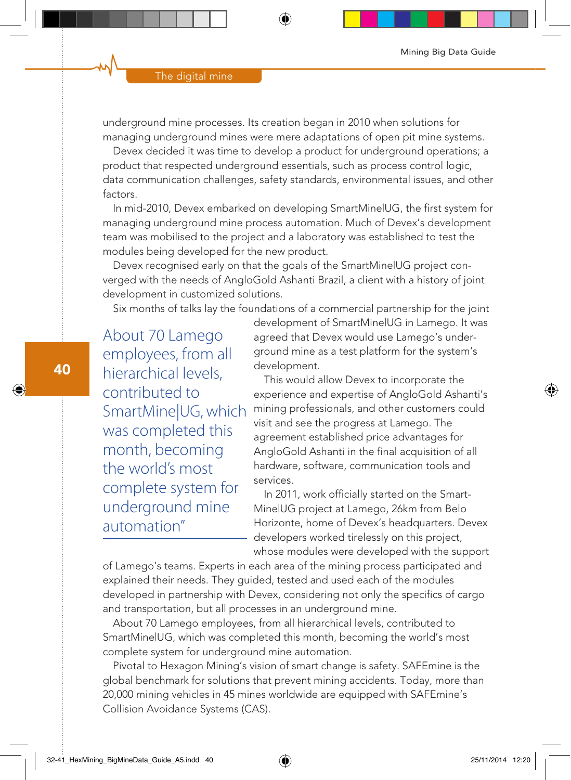underground mine processes. Its creation began in 2010 when solutions for managing underground mines were mere adaptations of open pit mine systems.

Devex decided it was time to develop a product for underground operations; a product that respected underground essentials, such as process control logic, data communication challenges, safety standards, environmental issues, and other factors.

In mid-2010, Devex embarked on developing SmartMine|UG, the first system for managing underground mine process automation. Much of Devex's development team was mobilised to the project and a laboratory was established to test the modules being developed for the new product.

Devex recognised early on that the goals of the SmartMine|UG project converged with the needs of AngloGold Ashanti Brazil, a client with a history of joint development in customized solutions.

Six months of talks lay the foundations of a commercial partnership for the joint

About 70 Lamego employees, from all hierarchical levels, contributed to SmartMine|UG, which was completed this month, becoming the world's most complete system for underground mine automation"

development of SmartMine|UG in Lamego. It was agreed that Devex would use Lamego's underground mine as a test platform for the system's development.

This would allow Devex to incorporate the experience and expertise of AngloGold Ashanti's mining professionals, and other customers could visit and see the progress at Lamego. The agreement established price advantages for AngloGold Ashanti in the final acquisition of all hardware, software, communication tools and services.

In 2011, work officially started on the Smart-Mine|UG project at Lamego, 26km from Belo Horizonte, home of Devex's headquarters. Devex developers worked tirelessly on this project, whose modules were developed with the support

of Lamego's teams. Experts in each area of the mining process participated and explained their needs. They guided, tested and used each of the modules developed in partnership with Devex, considering not only the specifics of cargo and transportation, but all processes in an underground mine.

About 70 Lamego employees, from all hierarchical levels, contributed to SmartMine|UG, which was completed this month, becoming the world's most complete system for underground mine automation.

Pivotal to Hexagon Mining's vision of smart change is safety. SAFEmine is the global benchmark for solutions that prevent mining accidents. Today, more than 20,000 mining vehicles in 45 mines worldwide are equipped with SAFEmine's Collision Avoidance Systems (CAS).